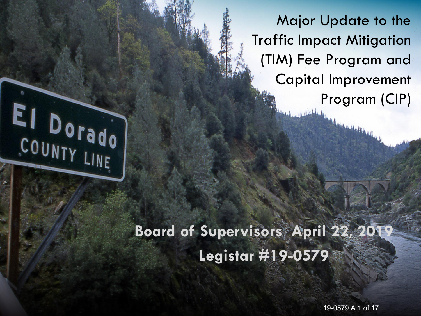Major Update to the Traffic Impact Mitigation (TIM) Fee Program and Capital Improvement Program (CIP)

#### **Board of Supervisors April 22, 2019 Legistar #19-0579**

EI DOTAdo

19-0579 A 1 of 17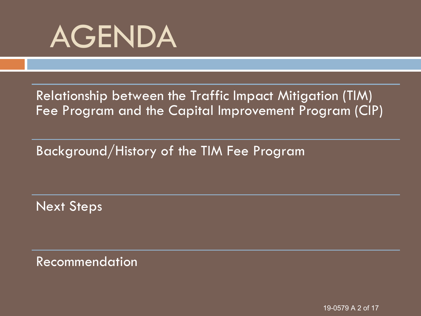

Relationship between the Traffic Impact Mitigation (TIM) Fee Program and the Capital Improvement Program (CIP)

Background/History of the TIM Fee Program

Next Steps

Recommendation

19-0579 A 2 of 17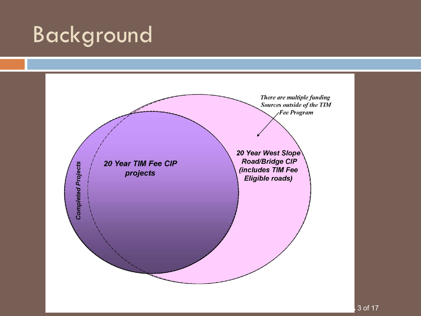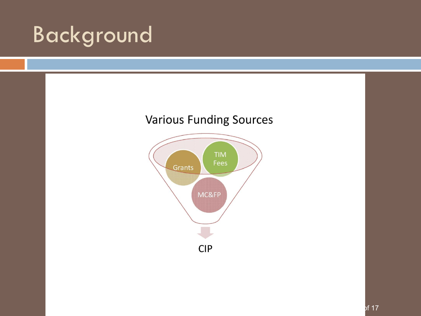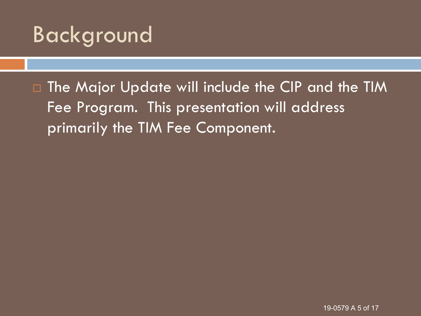□ The Major Update will include the CIP and the TIM Fee Program. This presentation will address primarily the TIM Fee Component.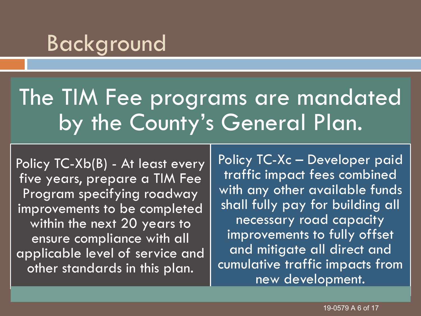## The TIM Fee programs are mandated by the County's General Plan.

Policy TC-Xb(B) - At least every five years, prepare a TIM Fee Program specifying roadway improvements to be completed within the next 20 years to ensure compliance with all applicable level of service and other standards in this plan.

Policy TC-Xc – Developer paid traffic impact fees combined with any other available funds shall fully pay for building all necessary road capacity improvements to fully offset and mitigate all direct and cumulative traffic impacts from new development.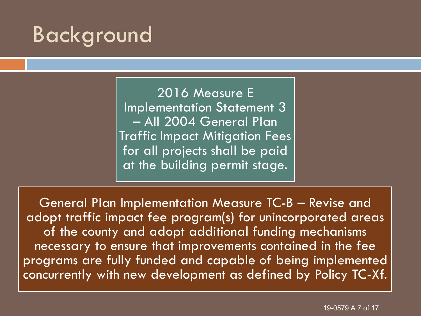2016 Measure E Implementation Statement 3 – All 2004 General Plan Traffic Impact Mitigation Fees for all projects shall be paid at the building permit stage.

General Plan Implementation Measure TC-B – Revise and adopt traffic impact fee program(s) for unincorporated areas of the county and adopt additional funding mechanisms necessary to ensure that improvements contained in the fee programs are fully funded and capable of being implemented concurrently with new development as defined by Policy TC-Xf.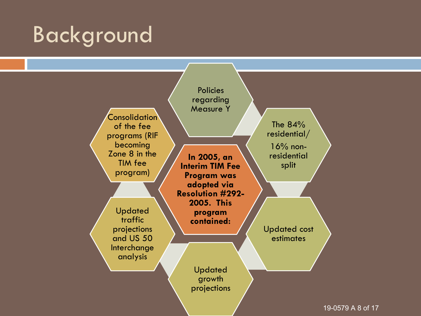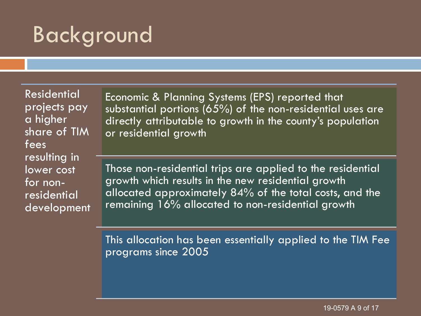Residential projects pay a higher share of TIM fees resulting in lower cost for nonresidential development

Economic & Planning Systems (EPS) reported that substantial portions (65%) of the non-residential uses are directly attributable to growth in the county's population or residential growth

Those non-residential trips are applied to the residential growth which results in the new residential growth allocated approximately 84% of the total costs, and the remaining 16% allocated to non-residential growth

This allocation has been essentially applied to the TIM Fee programs since 2005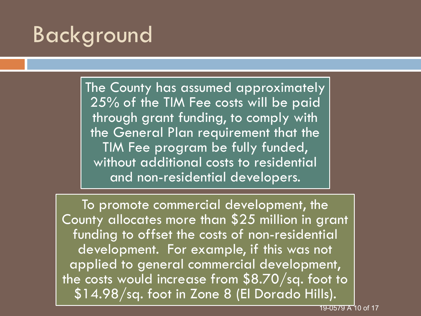The County has assumed approximately 25% of the TIM Fee costs will be paid through grant funding, to comply with the General Plan requirement that the TIM Fee program be fully funded, without additional costs to residential and non-residential developers.

To promote commercial development, the County allocates more than \$25 million in grant funding to offset the costs of non-residential development. For example, if this was not applied to general commercial development, the costs would increase from \$8.70/sq. foot to \$14.98/sq. foot in Zone 8 (El Dorado Hills).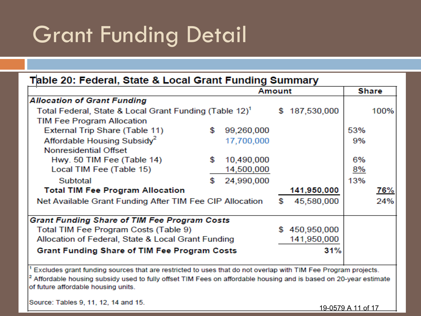# Grant Funding Detail

| Table 20: Federal, State & Local Grant Funding Summary                                                                                                 |    |            |               |               |       |            |  |  |
|--------------------------------------------------------------------------------------------------------------------------------------------------------|----|------------|---------------|---------------|-------|------------|--|--|
|                                                                                                                                                        |    | Amount     |               |               | Share |            |  |  |
| <b>Allocation of Grant Funding</b>                                                                                                                     |    |            |               |               |       |            |  |  |
| Total Federal, State & Local Grant Funding (Table 12) <sup>1</sup>                                                                                     |    |            | \$187,530,000 |               | 100%  |            |  |  |
| TIM Fee Program Allocation                                                                                                                             |    |            |               |               |       |            |  |  |
| External Trip Share (Table 11)                                                                                                                         | \$ | 99,260,000 |               |               | 53%   |            |  |  |
| Affordable Housing Subsidy <sup>2</sup>                                                                                                                |    | 17,700,000 |               |               | 9%    |            |  |  |
| <b>Nonresidential Offset</b>                                                                                                                           |    |            |               |               |       |            |  |  |
| Hwy. 50 TIM Fee (Table 14)                                                                                                                             | \$ | 10,490,000 |               |               | 6%    |            |  |  |
| Local TIM Fee (Table 15)                                                                                                                               |    | 14,500,000 |               |               | 8%    |            |  |  |
| Subtotal                                                                                                                                               | \$ | 24,990,000 |               |               | 13%   |            |  |  |
| <b>Total TIM Fee Program Allocation</b>                                                                                                                |    |            |               | 141,950,000   |       | <u>76%</u> |  |  |
| Net Available Grant Funding After TIM Fee CIP Allocation                                                                                               |    | \$         | 45,580,000    |               | 24%   |            |  |  |
| <b>Grant Funding Share of TIM Fee Program Costs</b>                                                                                                    |    |            |               |               |       |            |  |  |
| Total TIM Fee Program Costs (Table 9)                                                                                                                  |    |            |               | \$450,950,000 |       |            |  |  |
| Allocation of Federal, State & Local Grant Funding                                                                                                     |    |            |               | 141,950,000   |       |            |  |  |
| <b>Grant Funding Share of TIM Fee Program Costs</b>                                                                                                    |    |            |               | 31%           |       |            |  |  |
| Excludes grant funding sources that are restricted to uses that do not overlap with TIM Fee Program projects.                                          |    |            |               |               |       |            |  |  |
| Affordable housing subsidy used to fully offset TIM Fees on affordable housing and is based on 20-year estimate<br>of future affordable housing units. |    |            |               |               |       |            |  |  |
| Source: Tables 9, 11, 12, 14 and 15.                                                                                                                   |    |            |               |               |       |            |  |  |

19-0579 A 11 of 17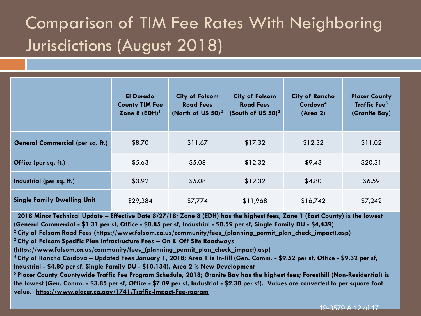#### Comparison of TIM Fee Rates With Neighboring Jurisdictions (August 2018)

|                                    | <b>El Dorado</b><br><b>County TIM Fee</b><br>Zone 8 $(EDH)^1$ | <b>City of Folsom</b><br><b>Road Fees</b><br>(North of US $50$ ) <sup>2</sup> | <b>City of Folsom</b><br><b>Road Fees</b><br>(South of US 50) <sup>3</sup> | <b>City of Rancho</b><br>Cordova <sup>4</sup><br>(Area 2) | <b>Placer County</b><br><b>Traffic Fee<sup>5</sup></b><br>(Granite Bay) |
|------------------------------------|---------------------------------------------------------------|-------------------------------------------------------------------------------|----------------------------------------------------------------------------|-----------------------------------------------------------|-------------------------------------------------------------------------|
| General Commercial (per sq. ft.)   | \$8.70                                                        | \$11.67                                                                       | \$17.32                                                                    | \$12.32                                                   | \$11.02                                                                 |
| Office (per sq. ft.)               | \$5.63                                                        | \$5.08                                                                        | \$12.32                                                                    | \$9.43                                                    | \$20.31                                                                 |
| Industrial (per sq. ft.)           | \$3.92                                                        | \$5.08                                                                        | \$12.32                                                                    | \$4.80                                                    | \$6.59                                                                  |
| <b>Single Family Dwelling Unit</b> | \$29,384                                                      | \$7,774                                                                       | \$11,968                                                                   | \$16,742                                                  | \$7,242                                                                 |

**<sup>1</sup>2018 Minor Technical Update – Effective Date 8/27/18; Zone 8 (EDH) has the highest fees, Zone 1 (East County) is the lowest (General Commercial - \$1.31 per sf, Office - \$0.85 per sf, Industrial - \$0.59 per sf, Single Family DU - \$4,439)** 

**<sup>2</sup>City of Folsom Road Fees (https://www.folsom.ca.us/community/fees\_(planning\_permit\_plan\_check\_impact).asp)** 

**<sup>3</sup>City of Folsom Specific Plan Infrastructure Fees – On & Off Site Roadways** 

**(https://www.folsom.ca.us/community/fees\_(planning\_permit\_plan\_check\_impact).asp)**

**<sup>4</sup>City of Rancho Cordova – Updated Fees January 1, 2018; Area 1 is In-fill (Gen. Comm. - \$9.52 per sf, Office - \$9.32 per sf, Industrial - \$4.80 per sf, Single Family DU - \$10,134), Area 2 is New Development** 

**<sup>5</sup>Placer County Countywide Traffic Fee Program Schedule, 2018; Granite Bay has the highest fees; Foresthill (Non-Residential) is the lowest (Gen. Comm. - \$3.85 per sf, Office - \$7.09 per sf, Industrial - \$2.30 per sf). Values are converted to per square foot value. https://www.placer.ca.gov/1741/Traffic-Impact-Fee-rogram**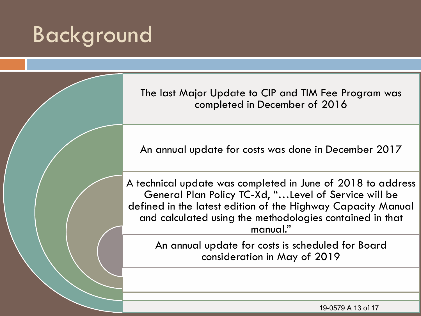The last Major Update to CIP and TIM Fee Program was completed in December of 2016 An annual update for costs was done in December 2017 A technical update was completed in June of 2018 to address General Plan Policy TC-Xd, "…Level of Service will be defined in the latest edition of the Highway Capacity Manual and calculated using the methodologies contained in that manual." An annual update for costs is scheduled for Board consideration in May of 2019

19-0579 A 13 of 17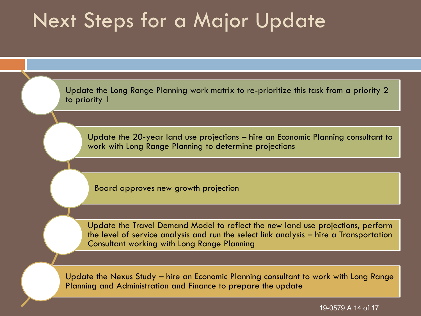#### Next Steps for a Major Update

Update the Long Range Planning work matrix to re-prioritize this task from a priority 2 to priority 1

Update the 20-year land use projections – hire an Economic Planning consultant to work with Long Range Planning to determine projections

Board approves new growth projection

Update the Travel Demand Model to reflect the new land use projections, perform the level of service analysis and run the select link analysis – hire a Transportation Consultant working with Long Range Planning

Update the Nexus Study – hire an Economic Planning consultant to work with Long Range Planning and Administration and Finance to prepare the update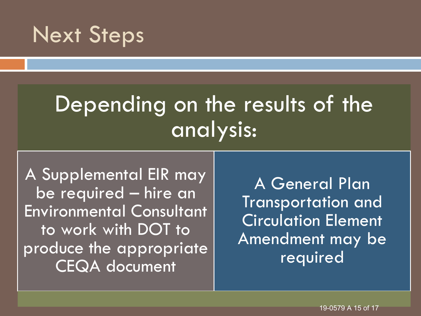#### Next Steps

# Depending on the results of the analysis:

A Supplemental EIR may be required – hire an Environmental Consultant to work with DOT to produce the appropriate CEQA document

A General Plan Transportation and Circulation Element Amendment may be required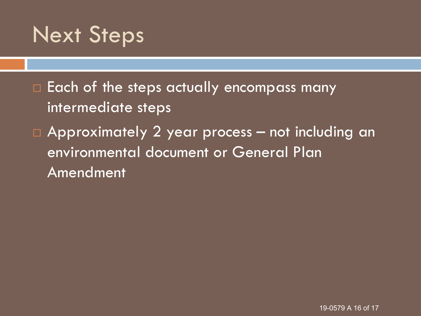### Next Steps

 $\Box$  Each of the steps actually encompass many intermediate steps Approximately 2 year process – not including an environmental document or General Plan Amendment